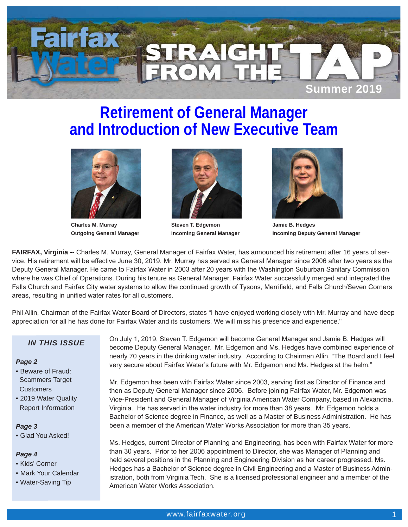

# **Retirement of General Manager and Introduction of New Executive Team**



**Charles M. Murray Outgoing General Manager**



**Steven T. Edgemon Incoming General Manager**



**Jamie B. Hedges Incoming Deputy General Manager**

**FAIRFAX, Virginia --** Charles M. Murray, General Manager of Fairfax Water, has announced his retirement after 16 years of service. His retirement will be effective June 30, 2019. Mr. Murray has served as General Manager since 2006 after two years as the Deputy General Manager. He came to Fairfax Water in 2003 after 20 years with the Washington Suburban Sanitary Commission where he was Chief of Operations. During his tenure as General Manager, Fairfax Water successfully merged and integrated the Falls Church and Fairfax City water systems to allow the continued growth of Tysons, Merrifield, and Falls Church/Seven Corners areas, resulting in unified water rates for all customers.

Phil Allin, Chairman of the Fairfax Water Board of Directors, states "I have enjoyed working closely with Mr. Murray and have deep appreciation for all he has done for Fairfax Water and its customers. We will miss his presence and experience."

## *IN THIS ISSUE*

#### *Page 2*

- Beware of Fraud: Scammers Target **Customers**
- 2019 Water Quality Report Information

#### *Page 3*

• Glad You Asked!

### *Page 4*

- Kids' Corner
- Mark Your Calendar
- Water-Saving Tip

On July 1, 2019, Steven T. Edgemon will become General Manager and Jamie B. Hedges will become Deputy General Manager. Mr. Edgemon and Ms. Hedges have combined experience of nearly 70 years in the drinking water industry. According to Chairman Allin, "The Board and I feel very secure about Fairfax Water's future with Mr. Edgemon and Ms. Hedges at the helm."

Mr. Edgemon has been with Fairfax Water since 2003, serving first as Director of Finance and then as Deputy General Manager since 2006. Before joining Fairfax Water, Mr. Edgemon was Vice-President and General Manager of Virginia American Water Company, based in Alexandria, Virginia. He has served in the water industry for more than 38 years. Mr. Edgemon holds a Bachelor of Science degree in Finance, as well as a Master of Business Administration. He has been a member of the American Water Works Association for more than 35 years.

Ms. Hedges, current Director of Planning and Engineering, has been with Fairfax Water for more than 30 years. Prior to her 2006 appointment to Director, she was Manager of Planning and held several positions in the Planning and Engineering Division as her career progressed. Ms. Hedges has a Bachelor of Science degree in Civil Engineering and a Master of Business Administration, both from Virginia Tech. She is a licensed professional engineer and a member of the American Water Works Association.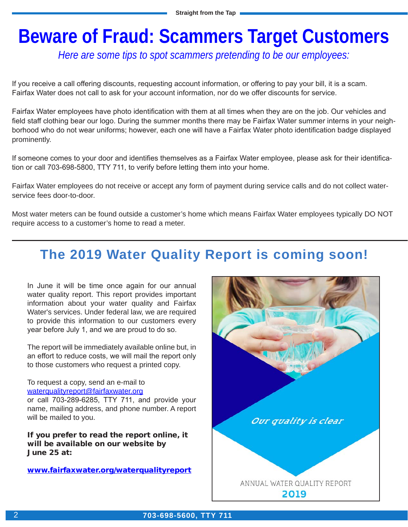# **Beware of Fraud: Scammers Target Customers**

*Here are some tips to spot scammers pretending to be our employees:*

If you receive a call offering discounts, requesting account information, or offering to pay your bill, it is a scam. Fairfax Water does not call to ask for your account information, nor do we offer discounts for service.

Fairfax Water employees have photo identification with them at all times when they are on the job. Our vehicles and field staff clothing bear our logo. During the summer months there may be Fairfax Water summer interns in your neighborhood who do not wear uniforms; however, each one will have a Fairfax Water photo identification badge displayed prominently.

If someone comes to your door and identifies themselves as a Fairfax Water employee, please ask for their identification or call 703-698-5800, TTY 711, to verify before letting them into your home.

Fairfax Water employees do not receive or accept any form of payment during service calls and do not collect waterservice fees door-to-door.

Most water meters can be found outside a customer's home which means Fairfax Water employees typically DO NOT require access to a customer's home to read a meter.

# **The 2019 Water Quality Report is coming soon!**

In June it will be time once again for our annual water quality report. This report provides important information about your water quality and Fairfax Water's services. Under federal law, we are required to provide this information to our customers every year before July 1, and we are proud to do so.

The report will be immediately available online but, in an effort to reduce costs, we will mail the report only to those customers who request a printed copy.

To request a copy, send an e-mail to waterqualityreport@fairfaxwater.org

or call 703-289-6285, TTY 711, and provide your name, mailing address, and phone number. A report will be mailed to you.

If you prefer to read the report online, it will be available on our website by June 25 at:

www.fairfaxwater.org/waterqualityreport

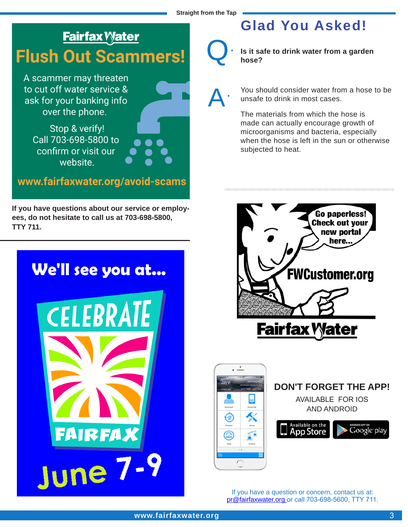# **Fairfax Water Flush Out Scammers!**

A scammer may threaten to cut off water service & ask for your banking info over the phone.

Stop & verify! Call 703-698-5800 to confirm or visit our website.

www.fairfaxwater.org/avoid-scams

**If you have questions about our service or employees, do not hesitate to call us at 703-698-5800, TTY 711.**



# **Glad You Asked!**

Q.

A.

**Is it safe to drink water from a garden hose?**

You should consider water from a hose to be unsafe to drink in most cases.

The materials from which the hose is made can actually encourage growth of microorganisms and bacteria, especially when the hose is left in the sun or otherwise subjected to heat.





If you have a question or concern, contact us at: pr@fairfaxwater.org or call 703-698-5600, TTY 711.